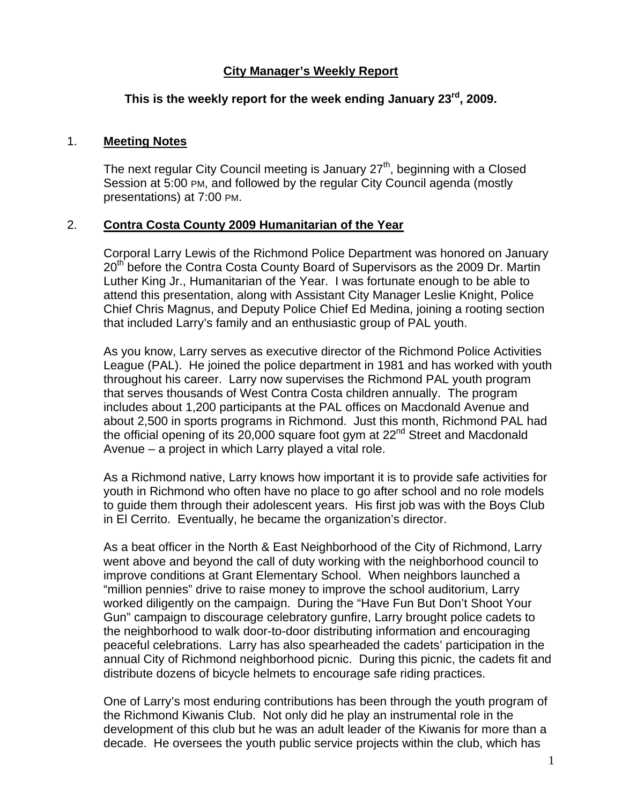## **City Manager's Weekly Report**

# **This is the weekly report for the week ending January 23rd, 2009.**

#### 1. **Meeting Notes**

The next regular City Council meeting is January  $27<sup>th</sup>$ , beginning with a Closed Session at 5:00 PM, and followed by the regular City Council agenda (mostly presentations) at 7:00 PM.

#### 2. **Contra Costa County 2009 Humanitarian of the Year**

Corporal Larry Lewis of the Richmond Police Department was honored on January 20<sup>th</sup> before the Contra Costa County Board of Supervisors as the 2009 Dr. Martin Luther King Jr., Humanitarian of the Year. I was fortunate enough to be able to attend this presentation, along with Assistant City Manager Leslie Knight, Police Chief Chris Magnus, and Deputy Police Chief Ed Medina, joining a rooting section that included Larry's family and an enthusiastic group of PAL youth.

As you know, Larry serves as executive director of the Richmond Police Activities League (PAL). He joined the police department in 1981 and has worked with youth throughout his career. Larry now supervises the Richmond PAL youth program that serves thousands of West Contra Costa children annually. The program includes about 1,200 participants at the PAL offices on Macdonald Avenue and about 2,500 in sports programs in Richmond. Just this month, Richmond PAL had the official opening of its 20,000 square foot gym at  $22<sup>nd</sup>$  Street and Macdonald Avenue – a project in which Larry played a vital role.

As a Richmond native, Larry knows how important it is to provide safe activities for youth in Richmond who often have no place to go after school and no role models to guide them through their adolescent years. His first job was with the Boys Club in El Cerrito. Eventually, he became the organization's director.

As a beat officer in the North & East Neighborhood of the City of Richmond, Larry went above and beyond the call of duty working with the neighborhood council to improve conditions at Grant Elementary School. When neighbors launched a "million pennies" drive to raise money to improve the school auditorium, Larry worked diligently on the campaign. During the "Have Fun But Don't Shoot Your Gun" campaign to discourage celebratory gunfire, Larry brought police cadets to the neighborhood to walk door-to-door distributing information and encouraging peaceful celebrations. Larry has also spearheaded the cadets' participation in the annual City of Richmond neighborhood picnic. During this picnic, the cadets fit and distribute dozens of bicycle helmets to encourage safe riding practices.

One of Larry's most enduring contributions has been through the youth program of the Richmond Kiwanis Club. Not only did he play an instrumental role in the development of this club but he was an adult leader of the Kiwanis for more than a decade. He oversees the youth public service projects within the club, which has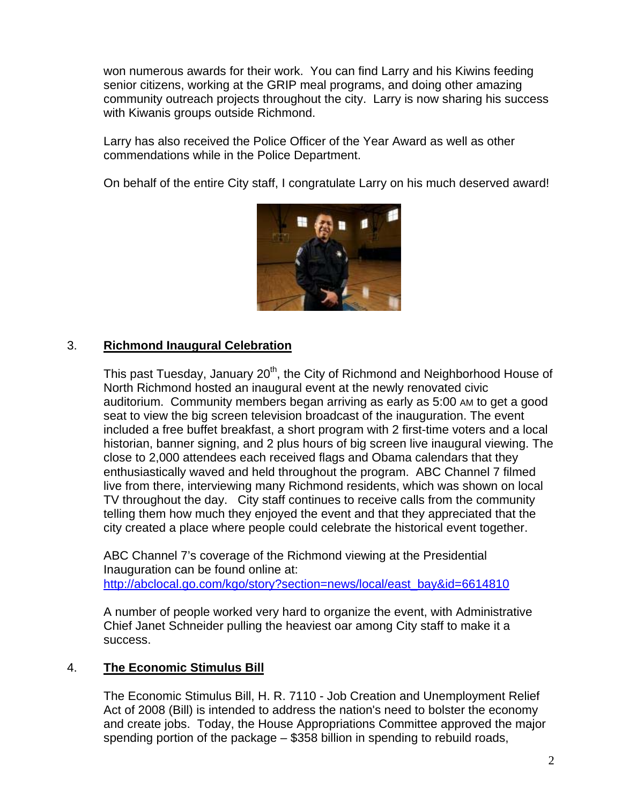won numerous awards for their work. You can find Larry and his Kiwins feeding senior citizens, working at the GRIP meal programs, and doing other amazing community outreach projects throughout the city. Larry is now sharing his success with Kiwanis groups outside Richmond.

Larry has also received the Police Officer of the Year Award as well as other commendations while in the Police Department.

On behalf of the entire City staff, I congratulate Larry on his much deserved award!



## 3. **Richmond Inaugural Celebration**

This past Tuesday, January 20<sup>th</sup>, the City of Richmond and Neighborhood House of North Richmond hosted an inaugural event at the newly renovated civic auditorium. Community members began arriving as early as 5:00 AM to get a good seat to view the big screen television broadcast of the inauguration. The event included a free buffet breakfast, a short program with 2 first-time voters and a local historian, banner signing, and 2 plus hours of big screen live inaugural viewing. The close to 2,000 attendees each received flags and Obama calendars that they enthusiastically waved and held throughout the program. ABC Channel 7 filmed live from there, interviewing many Richmond residents, which was shown on local TV throughout the day. City staff continues to receive calls from the community telling them how much they enjoyed the event and that they appreciated that the city created a place where people could celebrate the historical event together.

ABC Channel 7's coverage of the Richmond viewing at the Presidential Inauguration can be found online at: [http://abclocal.go.com/kgo/story?section=news/local/east\\_bay&id=6614810](http://abclocal.go.com/kgo/story?section=news/local/east_bay&id=6614810)

A number of people worked very hard to organize the event, with Administrative Chief Janet Schneider pulling the heaviest oar among City staff to make it a success.

## 4. **The Economic Stimulus Bill**

The Economic Stimulus Bill, H. R. 7110 - Job Creation and Unemployment Relief Act of 2008 (Bill) is intended to address the nation's need to bolster the economy and create jobs. Today, the House Appropriations Committee approved the major spending portion of the package – \$358 billion in spending to rebuild roads,